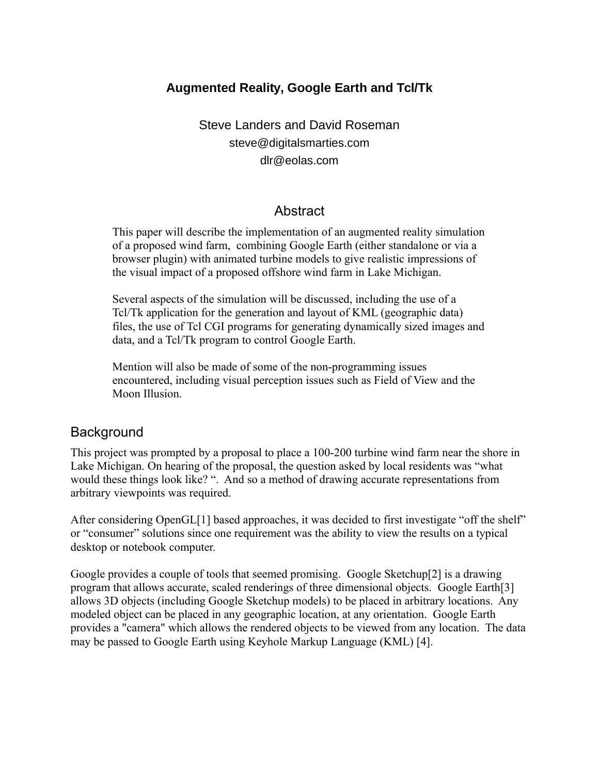#### **Augmented Reality, Google Earth and Tcl/Tk**

Steve Landers and David Roseman steve@digitalsmarties.com dlr@eolas.com

#### Abstract

This paper will describe the implementation of an augmented reality simulation of a proposed wind farm, combining Google Earth (either standalone or via a browser plugin) with animated turbine models to give realistic impressions of the visual impact of a proposed offshore wind farm in Lake Michigan.

Several aspects of the simulation will be discussed, including the use of a Tcl/Tk application for the generation and layout of KML (geographic data) files, the use of Tcl CGI programs for generating dynamically sized images and data, and a Tcl/Tk program to control Google Earth.

Mention will also be made of some of the non-programming issues encountered, including visual perception issues such as Field of View and the Moon Illusion.

#### **Background**

This project was prompted by a proposal to place a 100-200 turbine wind farm near the shore in Lake Michigan. On hearing of the proposal, the question asked by local residents was "what would these things look like? ". And so a method of drawing accurate representations from arbitrary viewpoints was required.

After considering OpenGL[1] based approaches, it was decided to first investigate "off the shelf" or "consumer" solutions since one requirement was the ability to view the results on a typical desktop or notebook computer.

Google provides a couple of tools that seemed promising. Google Sketchup[2] is a drawing program that allows accurate, scaled renderings of three dimensional objects. Google Earth[3] allows 3D objects (including Google Sketchup models) to be placed in arbitrary locations. Any modeled object can be placed in any geographic location, at any orientation. Google Earth provides a "camera" which allows the rendered objects to be viewed from any location. The data may be passed to Google Earth using Keyhole Markup Language (KML) [4].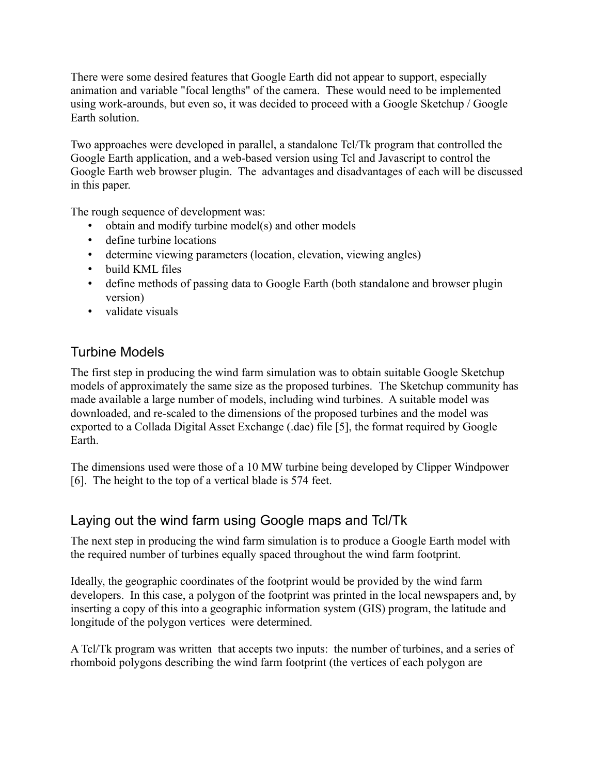There were some desired features that Google Earth did not appear to support, especially animation and variable "focal lengths" of the camera. These would need to be implemented using work-arounds, but even so, it was decided to proceed with a Google Sketchup / Google Earth solution.

Two approaches were developed in parallel, a standalone Tcl/Tk program that controlled the Google Earth application, and a web-based version using Tcl and Javascript to control the Google Earth web browser plugin. The advantages and disadvantages of each will be discussed in this paper.

The rough sequence of development was:

- obtain and modify turbine model(s) and other models
- define turbine locations
- determine viewing parameters (location, elevation, viewing angles)
- build KML files
- define methods of passing data to Google Earth (both standalone and browser plugin version)
- validate visuals

# Turbine Models

The first step in producing the wind farm simulation was to obtain suitable Google Sketchup models of approximately the same size as the proposed turbines. The Sketchup community has made available a large number of models, including wind turbines. A suitable model was downloaded, and re-scaled to the dimensions of the proposed turbines and the model was exported to a Collada Digital Asset Exchange (.dae) file [5], the format required by Google Earth.

The dimensions used were those of a 10 MW turbine being developed by Clipper Windpower [6]. The height to the top of a vertical blade is 574 feet.

### Laying out the wind farm using Google maps and Tcl/Tk

The next step in producing the wind farm simulation is to produce a Google Earth model with the required number of turbines equally spaced throughout the wind farm footprint.

Ideally, the geographic coordinates of the footprint would be provided by the wind farm developers. In this case, a polygon of the footprint was printed in the local newspapers and, by inserting a copy of this into a geographic information system (GIS) program, the latitude and longitude of the polygon vertices were determined.

A Tcl/Tk program was written that accepts two inputs: the number of turbines, and a series of rhomboid polygons describing the wind farm footprint (the vertices of each polygon are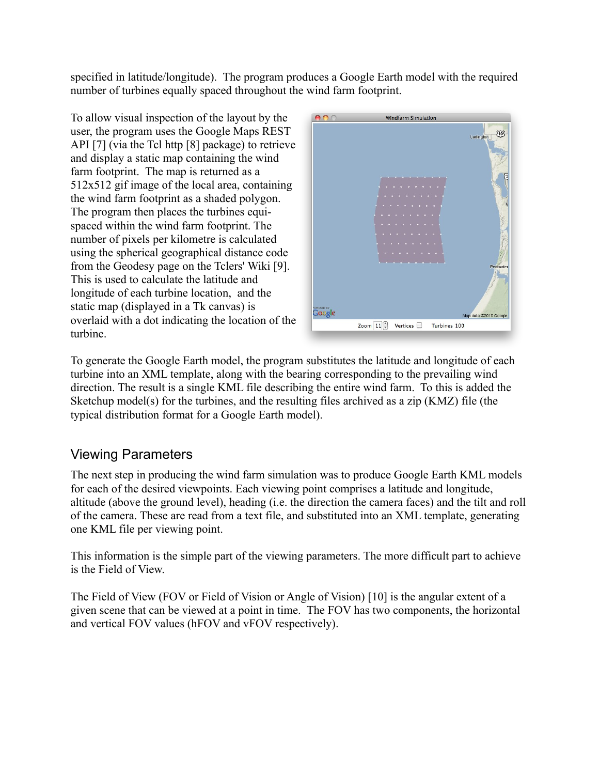specified in latitude/longitude). The program produces a Google Earth model with the required number of turbines equally spaced throughout the wind farm footprint.

To allow visual inspection of the layout by the user, the program uses the Google Maps REST API [7] (via the Tcl http [8] package) to retrieve and display a static map containing the wind farm footprint. The map is returned as a 512x512 gif image of the local area, containing the wind farm footprint as a shaded polygon. The program then places the turbines equispaced within the wind farm footprint. The number of pixels per kilometre is calculated using the spherical geographical distance code from the Geodesy page on the Tclers' Wiki [9]. This is used to calculate the latitude and longitude of each turbine location, and the static map (displayed in a Tk canvas) is overlaid with a dot indicating the location of the turbine.



To generate the Google Earth model, the program substitutes the latitude and longitude of each turbine into an XML template, along with the bearing corresponding to the prevailing wind direction. The result is a single KML file describing the entire wind farm. To this is added the Sketchup model(s) for the turbines, and the resulting files archived as a zip (KMZ) file (the typical distribution format for a Google Earth model).

### Viewing Parameters

The next step in producing the wind farm simulation was to produce Google Earth KML models for each of the desired viewpoints. Each viewing point comprises a latitude and longitude, altitude (above the ground level), heading (i.e. the direction the camera faces) and the tilt and roll of the camera. These are read from a text file, and substituted into an XML template, generating one KML file per viewing point.

This information is the simple part of the viewing parameters. The more difficult part to achieve is the Field of View.

The Field of View (FOV or Field of Vision or Angle of Vision) [10] is the angular extent of a given scene that can be viewed at a point in time. The FOV has two components, the horizontal and vertical FOV values (hFOV and vFOV respectively).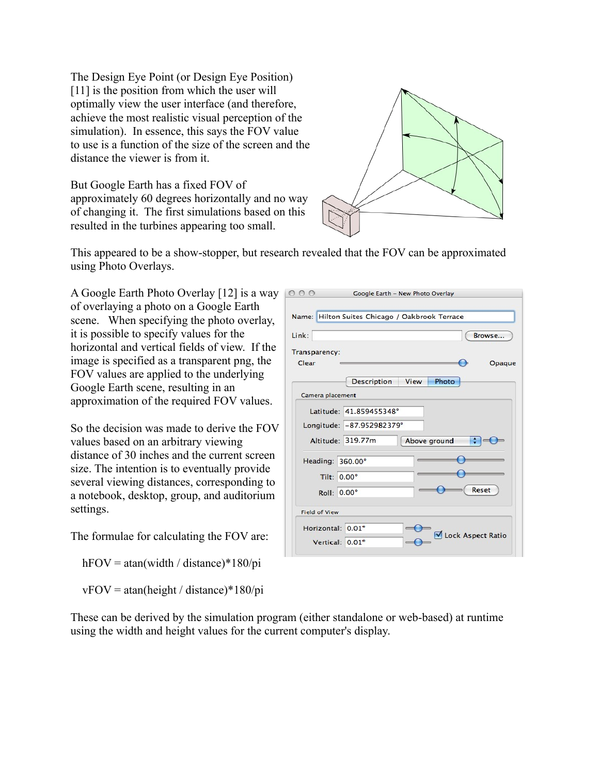The Design Eye Point (or Design Eye Position) [11] is the position from which the user will optimally view the user interface (and therefore, achieve the most realistic visual perception of the simulation). In essence, this says the FOV value to use is a function of the size of the screen and the distance the viewer is from it.

But Google Earth has a fixed FOV of approximately 60 degrees horizontally and no way of changing it. The first simulations based on this resulted in the turbines appearing too small.



This appeared to be a show-stopper, but research revealed that the FOV can be approximated using Photo Overlays.

A Google Earth Photo Overlay [12] is a way of overlaying a photo on a Google Earth scene. When specifying the photo overlay, it is possible to specify values for the horizontal and vertical fields of view. If the image is specified as a transparent png, the FOV values are applied to the underlying Google Earth scene, resulting in an approximation of the required FOV values.

So the decision was made to derive the FOV values based on an arbitrary viewing distance of 30 inches and the current screen size. The intention is to eventually provide several viewing distances, corresponding to a notebook, desktop, group, and auditorium settings.

The formulae for calculating the FOV are:

hFOV = atan(width / distance)\*180/pi

 $vFOV = \text{atan(height / distance)} * 180 \text{/pi}$ 

| Link:                  | Browse                              |
|------------------------|-------------------------------------|
| Transparency:<br>Clear | Opaque                              |
|                        | <b>Description</b><br>Photo<br>View |
| Camera placement       |                                     |
|                        | Latitude: 41.859455348°             |
|                        | Longitude: - 87.952982379°          |
|                        | Altitude: 319.77m<br>Above ground   |
| Heading: 360.00°       |                                     |
| Tilt: 0.00°            |                                     |
| Roll: 0.00°            | Reset                               |
| <b>Field of View</b>   |                                     |
|                        |                                     |

These can be derived by the simulation program (either standalone or web-based) at runtime using the width and height values for the current computer's display.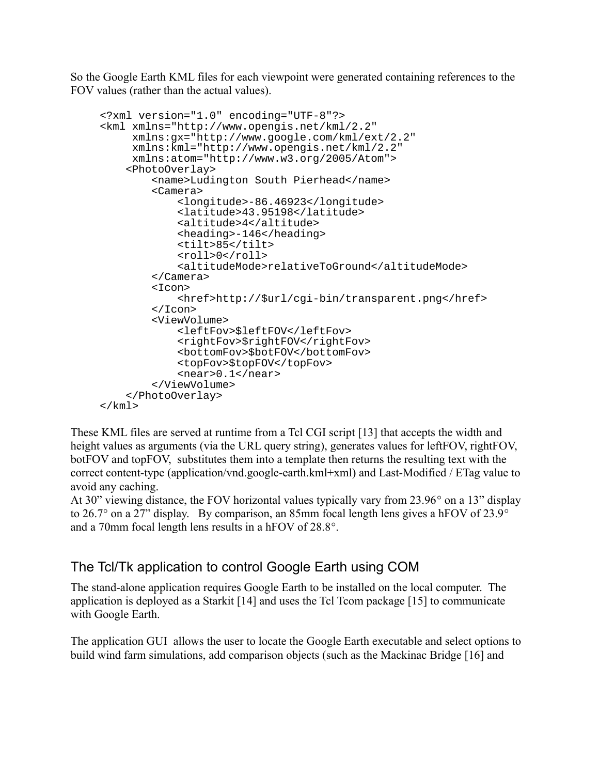So the Google Earth KML files for each viewpoint were generated containing references to the FOV values (rather than the actual values).

```
<?xml version="1.0" encoding="UTF-8"?>
<kml xmlns="http://www.opengis.net/kml/2.2"
      xmlns:gx="http://www.google.com/kml/ext/2.2"
      xmlns:kml="http://www.opengis.net/kml/2.2"
      xmlns:atom="http://www.w3.org/2005/Atom">
     <PhotoOverlay>
         <name>Ludington South Pierhead</name>
         <Camera>
              <longitude>-86.46923</longitude>
              <latitude>43.95198</latitude>
              <altitude>4</altitude>
              <heading>-146</heading>
              <tilt>85</tilt>
             <roll>0</roll>
              <altitudeMode>relativeToGround</altitudeMode>
         </Camera>
         <Icon>
              <href>http://$url/cgi-bin/transparent.png</href>
        \langleIcon\rangle <ViewVolume>
              <leftFov>$leftFOV</leftFov>
              <rightFov>$rightFOV</rightFov>
              <bottomFov>$botFOV</bottomFov>
             <topFov>$topFOV</topFov>
              <near>0.1</near>
         </ViewVolume>
     </PhotoOverlay>
\langlekml\rangle
```
These KML files are served at runtime from a Tcl CGI script [13] that accepts the width and height values as arguments (via the URL query string), generates values for leftFOV, rightFOV, botFOV and topFOV, substitutes them into a template then returns the resulting text with the correct content-type (application/vnd.google-earth.kml+xml) and Last-Modified / ETag value to avoid any caching.

At 30" viewing distance, the FOV horizontal values typically vary from 23.96° on a 13" display to 26.7° on a 27" display. By comparison, an 85mm focal length lens gives a hFOV of 23.9° and a 70mm focal length lens results in a hFOV of 28.8°.

### The Tcl/Tk application to control Google Earth using COM

The stand-alone application requires Google Earth to be installed on the local computer. The application is deployed as a Starkit [14] and uses the Tcl Tcom package [15] to communicate with Google Earth.

The application GUI allows the user to locate the Google Earth executable and select options to build wind farm simulations, add comparison objects (such as the Mackinac Bridge [16] and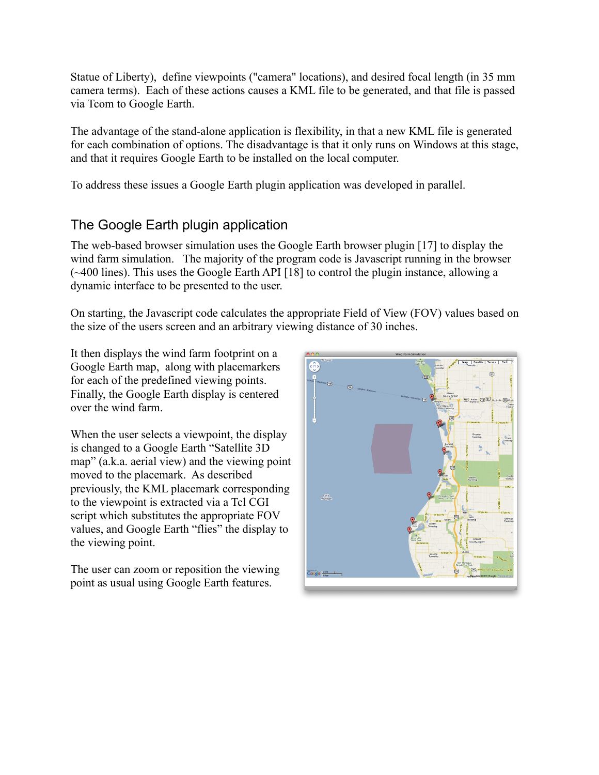Statue of Liberty), define viewpoints ("camera" locations), and desired focal length (in 35 mm camera terms). Each of these actions causes a KML file to be generated, and that file is passed via Tcom to Google Earth.

The advantage of the stand-alone application is flexibility, in that a new KML file is generated for each combination of options. The disadvantage is that it only runs on Windows at this stage, and that it requires Google Earth to be installed on the local computer.

To address these issues a Google Earth plugin application was developed in parallel.

# The Google Earth plugin application

The web-based browser simulation uses the Google Earth browser plugin [17] to display the wind farm simulation. The majority of the program code is Javascript running in the browser (~400 lines). This uses the Google Earth API [18] to control the plugin instance, allowing a dynamic interface to be presented to the user.

On starting, the Javascript code calculates the appropriate Field of View (FOV) values based on the size of the users screen and an arbitrary viewing distance of 30 inches.

It then displays the wind farm footprint on a Google Earth map, along with placemarkers for each of the predefined viewing points. Finally, the Google Earth display is centered over the wind farm.

When the user selects a viewpoint, the display is changed to a Google Earth "Satellite 3D map" (a.k.a. aerial view) and the viewing point moved to the placemark. As described previously, the KML placemark corresponding to the viewpoint is extracted via a Tcl CGI script which substitutes the appropriate FOV values, and Google Earth "flies" the display to the viewing point.

The user can zoom or reposition the viewing point as usual using Google Earth features.

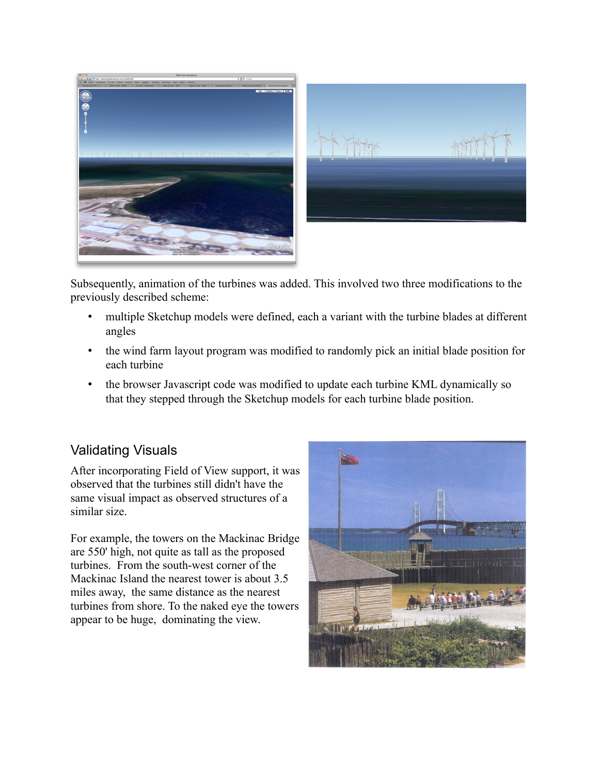



Subsequently, animation of the turbines was added. This involved two three modifications to the previously described scheme:

- multiple Sketchup models were defined, each a variant with the turbine blades at different angles
- the wind farm layout program was modified to randomly pick an initial blade position for each turbine
- the browser Javascript code was modified to update each turbine KML dynamically so that they stepped through the Sketchup models for each turbine blade position.

### Validating Visuals

After incorporating Field of View support, it was observed that the turbines still didn't have the same visual impact as observed structures of a similar size.

For example, the towers on the Mackinac Bridge are 550' high, not quite as tall as the proposed turbines. From the south-west corner of the Mackinac Island the nearest tower is about 3.5 miles away, the same distance as the nearest turbines from shore. To the naked eye the towers appear to be huge, dominating the view.

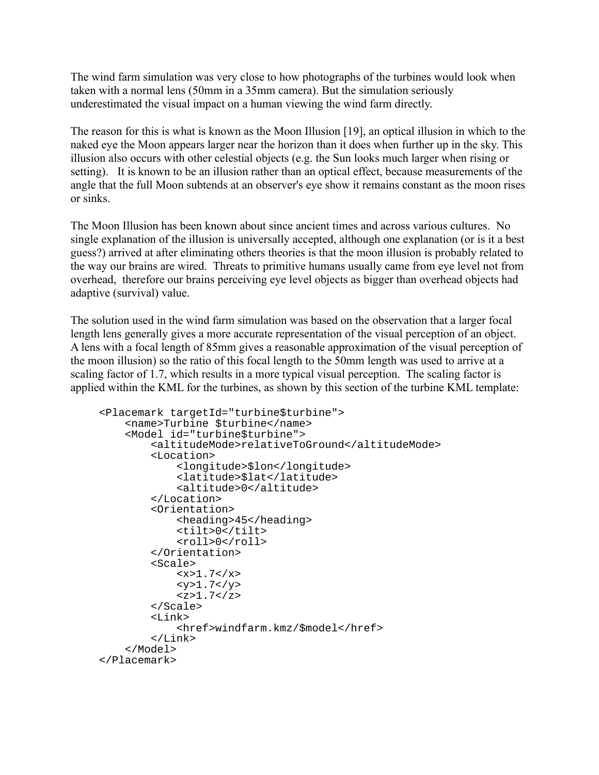The wind farm simulation was very close to how photographs of the turbines would look when taken with a normal lens (50mm in a 35mm camera). But the simulation seriously underestimated the visual impact on a human viewing the wind farm directly.

The reason for this is what is known as the Moon Illusion [19], an optical illusion in which to the naked eye the Moon appears larger near the horizon than it does when further up in the sky. This illusion also occurs with other celestial objects (e.g. the Sun looks much larger when rising or setting). It is known to be an illusion rather than an optical effect, because measurements of the angle that the full Moon subtends at an observer's eye show it remains constant as the moon rises or sinks.

The Moon Illusion has been known about since ancient times and across various cultures. No single explanation of the illusion is universally accepted, although one explanation (or is it a best guess?) arrived at after eliminating others theories is that the moon illusion is probably related to the way our brains are wired. Threats to primitive humans usually came from eye level not from overhead, therefore our brains perceiving eye level objects as bigger than overhead objects had adaptive (survival) value.

The solution used in the wind farm simulation was based on the observation that a larger focal length lens generally gives a more accurate representation of the visual perception of an object. A lens with a focal length of 85mm gives a reasonable approximation of the visual perception of the moon illusion) so the ratio of this focal length to the 50mm length was used to arrive at a scaling factor of 1.7, which results in a more typical visual perception. The scaling factor is applied within the KML for the turbines, as shown by this section of the turbine KML template:

```
<Placemark targetId="turbine$turbine">
     <name>Turbine $turbine</name>
     <Model id="turbine$turbine">
         <altitudeMode>relativeToGround</altitudeMode>
         <Location>
              <longitude>$lon</longitude>
              <latitude>$lat</latitude>
              <altitude>0</altitude>
         </Location>
         <Orientation>
              <heading>45</heading>
              <tilt>0</tilt>
             <roll>0</roll>
         </Orientation>
         <Scale>
             <x>1.7</math> <math>x><y>1.7</y><z>1.7</z>
         </Scale>
         <Link>
              <href>windfarm.kmz/$model</href>
         </Link>
     </Model>
</Placemark>
```